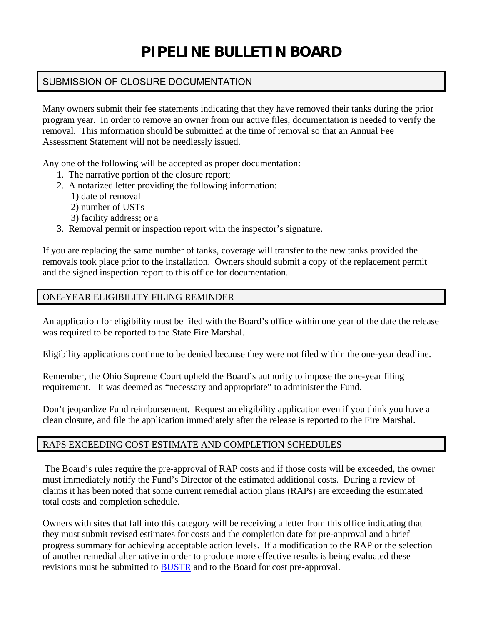# **PIPELINE BULLETIN BOARD**

### SUBMISSION OF CLOSURE DOCUMENTATION

Many owners submit their fee statements indicating that they have removed their tanks during the prior program year. In order to remove an owner from our active files, documentation is needed to verify the removal. This information should be submitted at the time of removal so that an Annual Fee Assessment Statement will not be needlessly issued.

Any one of the following will be accepted as proper documentation:

- 1. The narrative portion of the closure report;
- 2. A notarized letter providing the following information:
	- 1) date of removal
	- 2) number of USTs
	- 3) facility address; or a
- 3. Removal permit or inspection report with the inspector's signature.

If you are replacing the same number of tanks, coverage will transfer to the new tanks provided the removals took place prior to the installation. Owners should submit a copy of the replacement permit and the signed inspection report to this office for documentation.

#### ONE-YEAR ELIGIBILITY FILING REMINDER

An application for eligibility must be filed with the Board's office within one year of the date the release was required to be reported to the State Fire Marshal.

Eligibility applications continue to be denied because they were not filed within the one-year deadline.

Remember, the Ohio Supreme Court upheld the Board's authority to impose the one-year filing requirement. It was deemed as "necessary and appropriate" to administer the Fund.

Don't jeopardize Fund reimbursement. Request an eligibility application even if you think you have a clean closure, and file the application immediately after the release is reported to the Fire Marshal.

#### RAPS EXCEEDING COST ESTIMATE AND COMPLETION SCHEDULES

 The Board's rules require the pre-approval of RAP costs and if those costs will be exceeded, the owner must immediately notify the Fund's Director of the estimated additional costs. During a review of claims it has been noted that some current remedial action plans (RAPs) are exceeding the estimated total costs and completion schedule.

Owners with sites that fall into this category will be receiving a letter from this office indicating that they must submit revised estimates for costs and the completion date for pre-approval and a brief progress summary for achieving acceptable action levels. If a modification to the RAP or the selection of another remedial alternative in order to produce more effective results is being evaluated these revisions must be submitted to [BUSTR](https://www.com.state.oh.us/odoc/sfm/bustr/) and to the Board for cost pre-approval.